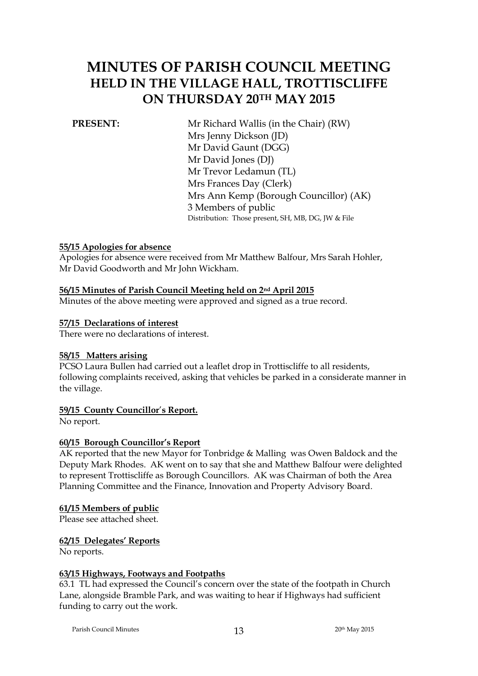# **MINUTES OF PARISH COUNCIL MEETING HELD IN THE VILLAGE HALL, TROTTISCLIFFE ON THURSDAY 20TH MAY 2015**

**PRESENT:** Mr Richard Wallis (in the Chair) (RW) Mrs Jenny Dickson (JD) Mr David Gaunt (DGG) Mr David Jones (DJ) Mr Trevor Ledamun (TL) Mrs Frances Day (Clerk) Mrs Ann Kemp (Borough Councillor) (AK) 3 Members of public Distribution: Those present, SH, MB, DG, JW & File

#### **55/15 Apologies for absence**

Apologies for absence were received from Mr Matthew Balfour, Mrs Sarah Hohler, Mr David Goodworth and Mr John Wickham.

### **56/15 Minutes of Parish Council Meeting held on 2nd April 2015**

Minutes of the above meeting were approved and signed as a true record.

#### **57/15 Declarations of interest**

There were no declarations of interest.

#### **58/15 Matters arising**

PCSO Laura Bullen had carried out a leaflet drop in Trottiscliffe to all residents, following complaints received, asking that vehicles be parked in a considerate manner in the village.

#### **59/15 County Councillor**'**s Report.**

No report.

#### **60/15 Borough Councillor's Report**

AK reported that the new Mayor for Tonbridge & Malling was Owen Baldock and the Deputy Mark Rhodes. AK went on to say that she and Matthew Balfour were delighted to represent Trottiscliffe as Borough Councillors. AK was Chairman of both the Area Planning Committee and the Finance, Innovation and Property Advisory Board.

#### **61/15 Members of public**

Please see attached sheet.

#### **62/15 Delegates' Reports**

No reports.

#### **63/15 Highways, Footways and Footpaths**

63.1 TL had expressed the Council's concern over the state of the footpath in Church Lane, alongside Bramble Park, and was waiting to hear if Highways had sufficient funding to carry out the work.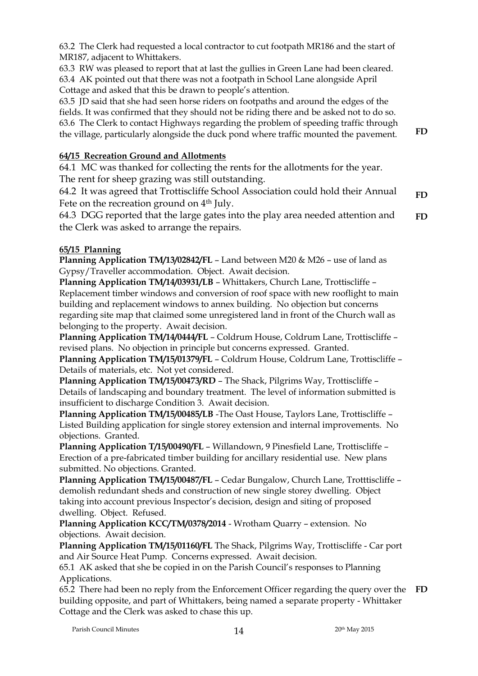63.2 The Clerk had requested a local contractor to cut footpath MR186 and the start of MR187, adjacent to Whittakers.

63.3 RW was pleased to report that at last the gullies in Green Lane had been cleared. 63.4 AK pointed out that there was not a footpath in School Lane alongside April

Cottage and asked that this be drawn to people's attention.

63.5 JD said that she had seen horse riders on footpaths and around the edges of the fields. It was confirmed that they should not be riding there and be asked not to do so. 63.6 The Clerk to contact Highways regarding the problem of speeding traffic through the village, particularly alongside the duck pond where traffic mounted the pavement.

# **64/15 Recreation Ground and Allotments**

64.1 MC was thanked for collecting the rents for the allotments for the year. The rent for sheep grazing was still outstanding.

64.2 It was agreed that Trottiscliffe School Association could hold their Annual Fete on the recreation ground on 4<sup>th</sup> July. **FD**

64.3 DGG reported that the large gates into the play area needed attention and the Clerk was asked to arrange the repairs. **FD**

# **65/15 Planning**

**Planning Application TM/13/02842/FL** – Land between M20 & M26 – use of land as Gypsy/Traveller accommodation. Object. Await decision.

**Planning Application TM/14/03931/LB** – Whittakers, Church Lane, Trottiscliffe – Replacement timber windows and conversion of roof space with new rooflight to main building and replacement windows to annex building. No objection but concerns regarding site map that claimed some unregistered land in front of the Church wall as belonging to the property. Await decision.

**Planning Application TM/14/0444/FL** – Coldrum House, Coldrum Lane, Trottiscliffe – revised plans. No objection in principle but concerns expressed. Granted.

**Planning Application TM/15/01379/FL** – Coldrum House, Coldrum Lane, Trottiscliffe – Details of materials, etc. Not yet considered.

**Planning Application TM/15/00473/RD** – The Shack, Pilgrims Way, Trottiscliffe – Details of landscaping and boundary treatment. The level of information submitted is insufficient to discharge Condition 3. Await decision.

**Planning Application TM/15/00485/LB** -The Oast House, Taylors Lane, Trottiscliffe – Listed Building application for single storey extension and internal improvements. No objections. Granted.

**Planning Application T/15/00490/FL** – Willandown, 9 Pinesfield Lane, Trottiscliffe – Erection of a pre-fabricated timber building for ancillary residential use. New plans submitted. No objections. Granted.

**Planning Application TM/15/00487/FL** – Cedar Bungalow, Church Lane, Trotttiscliffe – demolish redundant sheds and construction of new single storey dwelling. Object taking into account previous Inspector's decision, design and siting of proposed dwelling. Object. Refused.

**Planning Application KCC/TM/0378/2014** - Wrotham Quarry – extension. No objections. Await decision.

**Planning Application TM/15/01160/FL** The Shack, Pilgrims Way, Trottiscliffe - Car port and Air Source Heat Pump. Concerns expressed. Await decision.

65.1 AK asked that she be copied in on the Parish Council's responses to Planning Applications.

65.2 There had been no reply from the Enforcement Officer regarding the query over the **FD**building opposite, and part of Whittakers, being named a separate property - Whittaker Cottage and the Clerk was asked to chase this up.

**FD**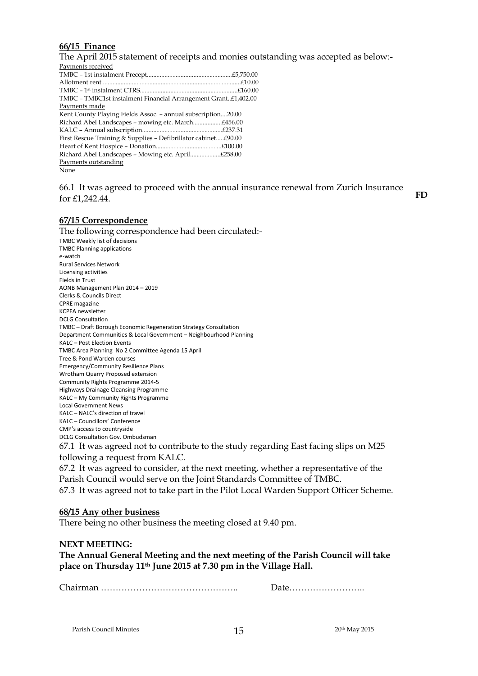#### **66/15 Finance**

The April 2015 statement of receipts and monies outstanding was accepted as below:- Payments received TMBC – 1st instalment Precept.....................................................£5,750.00 Allotment rent.......................................................................................£10.00 TMBC – 1 st instalment CTRS.............................................................£160.00 TMBC – TMBC1st instalment Financial Arrangement Grant..£1,402.00 Payments made Kent County Playing Fields Assoc. – annual subscription....20.00 Richard Abel Landscapes – mowing etc. March..................£456.00 KALC – Annual subscription..................................................£237.31 First Rescue Training & Supplies – Defibrillator cabinet.....£90.00 Heart of Kent Hospice – Donation.........................................£100.00 Richard Abel Landscapes – Mowing etc. April...................£258.00 Payments outstanding

None

66.1 It was agreed to proceed with the annual insurance renewal from Zurich Insurance for £1,242.44. **FD**

#### **67/15 Correspondence**

The following correspondence had been circulated:- TMBC Weekly list of decisions TMBC Planning applications e-watch Rural Services Network Licensing activities Fields in Trust AONB Management Plan 2014 – 2019 Clerks & Councils Direct CPRE magazine KCPFA newsletter DCLG Consultation TMBC – Draft Borough Economic Regeneration Strategy Consultation Department Communities & Local Government – Neighbourhood Planning KALC – Post Election Events TMBC Area Planning No 2 Committee Agenda 15 April Tree & Pond Warden courses Emergency/Community Resilience Plans Wrotham Quarry Proposed extension Community Rights Programme 2014-5 Highways Drainage Cleansing Programme KALC – My Community Rights Programme Local Government News KALC – NALC's direction of travel KALC – Councillors' Conference CMP's access to countryside DCLG Consultation Gov. Ombudsman 67.1 It was agreed not to contribute to the study regarding East facing slips on M25 following a request from KALC.

67.2 It was agreed to consider, at the next meeting, whether a representative of the Parish Council would serve on the Joint Standards Committee of TMBC.

67.3 It was agreed not to take part in the Pilot Local Warden Support Officer Scheme.

#### **68/15 Any other business**

There being no other business the meeting closed at 9.40 pm.

#### **NEXT MEETING:**

**The Annual General Meeting and the next meeting of the Parish Council will take place on Thursday 11th June 2015 at 7.30 pm in the Village Hall.**

Chairman ……………………………………….. Date……………………..

Parish Council Minutes 2015